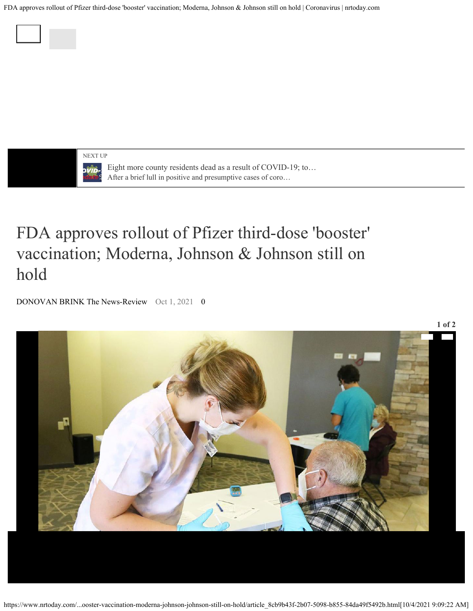



Eight more county residents dead as a result of COVID-19; to… After a brief lull in positive and presumptive cases of coro…

# FDA approves rollout of Pfizer third-dose 'booster' vaccination; Moderna, Johnson & Johnson still on hold

[DONOVAN BRINK](https://www.nrtoday.com/users/profile/Donovan%20Brink) The News-Review Oct 1, 2[0](#page-3-0)21 0

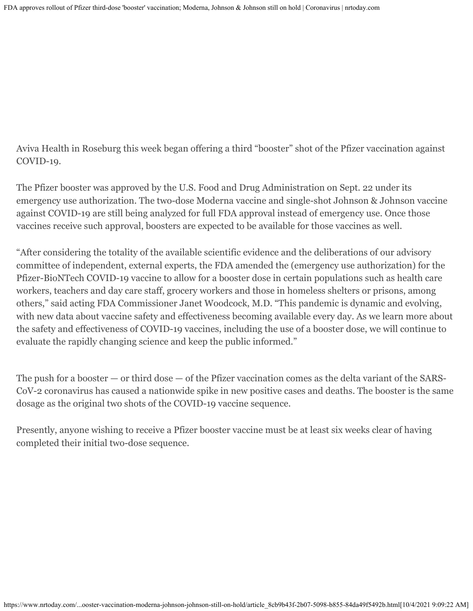Aviva Health in Roseburg this week began offering a third "booster" shot of the Pfizer vaccination against COVID-19.

The Pfizer booster was approved by the U.S. Food and Drug Administration on Sept. 22 under its emergency use authorization. The two-dose Moderna vaccine and single-shot Johnson & Johnson vaccine against COVID-19 are still being analyzed for full FDA approval instead of emergency use. Once those vaccines receive such approval, boosters are expected to be available for those vaccines as well.

"After considering the totality of the available scientific evidence and the deliberations of our advisory committee of independent, external experts, the FDA amended the (emergency use authorization) for the Pfizer-BioNTech COVID-19 vaccine to allow for a booster dose in certain populations such as health care workers, teachers and day care staff, grocery workers and those in homeless shelters or prisons, among others," said acting FDA Commissioner Janet Woodcock, M.D. "This pandemic is dynamic and evolving, with new data about vaccine safety and effectiveness becoming available every day. As we learn more about the safety and effectiveness of COVID-19 vaccines, including the use of a booster dose, we will continue to evaluate the rapidly changing science and keep the public informed."

The push for a booster — or third dose — of the Pfizer vaccination comes as the delta variant of the SARS-CoV-2 coronavirus has caused a nationwide spike in new positive cases and deaths. The booster is the same dosage as the original two shots of the COVID-19 vaccine sequence.

Presently, anyone wishing to receive a Pfizer booster vaccine must be at least six weeks clear of having completed their initial two-dose sequence.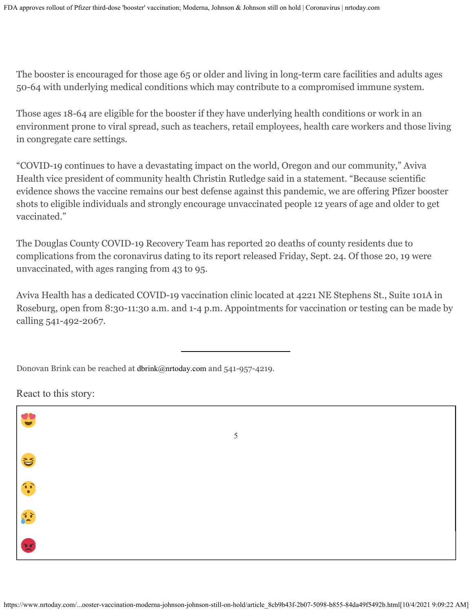The booster is encouraged for those age 65 or older and living in long-term care facilities and adults ages 50-64 with underlying medical conditions which may contribute to a compromised immune system.

Those ages 18-64 are eligible for the booster if they have underlying health conditions or work in an environment prone to viral spread, such as teachers, retail employees, health care workers and those living in congregate care settings.

"COVID-19 continues to have a devastating impact on the world, Oregon and our community," Aviva Health vice president of community health Christin Rutledge said in a statement. "Because scientific evidence shows the vaccine remains our best defense against this pandemic, we are offering Pfizer booster shots to eligible individuals and strongly encourage unvaccinated people 12 years of age and older to get vaccinated."

The Douglas County COVID-19 Recovery Team has reported 20 deaths of county residents due to complications from the coronavirus dating to its report released Friday, Sept. 24. Of those 20, 19 were unvaccinated, with ages ranging from 43 to 95.

Aviva Health has a dedicated COVID-19 vaccination clinic located at 4221 NE Stephens St., Suite 101A in Roseburg, open from 8:30-11:30 a.m. and 1-4 p.m. Appointments for vaccination or testing can be made by calling 541-492-2067.

Donovan Brink can be reached at [dbrink@nrtoday.com](mailto:dbrink@nrtoday.com) and 541-957-4219.

React to this story:

|                                               | $\mathfrak{S}$ |
|-----------------------------------------------|----------------|
| Cx                                            |                |
| $\ddot{\cdot}$                                |                |
| $\frac{\lambda_{\bullet}}{\lambda_{\bullet}}$ |                |
| 25                                            |                |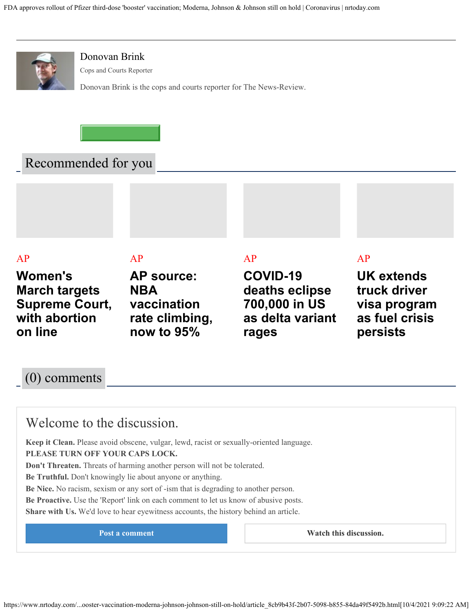

[Donovan Brink](https://www.nrtoday.com/users/profile/Donovan%20Brink)

Cops and Courts Reporter

Donovan Brink is the cops and courts reporter for The News-Review.

Recommended for you



<span id="page-3-0"></span>(0) comments

## Welcome to the discussion.

**Keep it Clean.** Please avoid obscene, vulgar, lewd, racist or sexually-oriented language.

**PLEASE TURN OFF YOUR CAPS LOCK.**

**Don't Threaten.** Threats of harming another person will not be tolerated.

**Be Truthful.** Don't knowingly lie about anyone or anything.

**Be Nice.** No racism, sexism or any sort of -ism that is degrading to another person.

**Be Proactive.** Use the 'Report' link on each comment to let us know of abusive posts.

**Share with Us.** We'd love to hear eyewitness accounts, the history behind an article.

**Post a comment Watch this discussion.**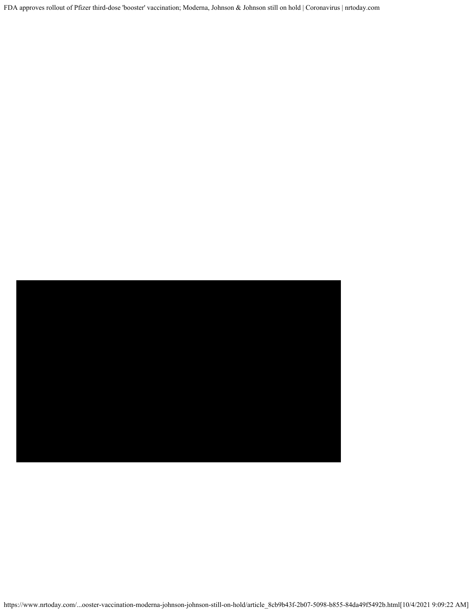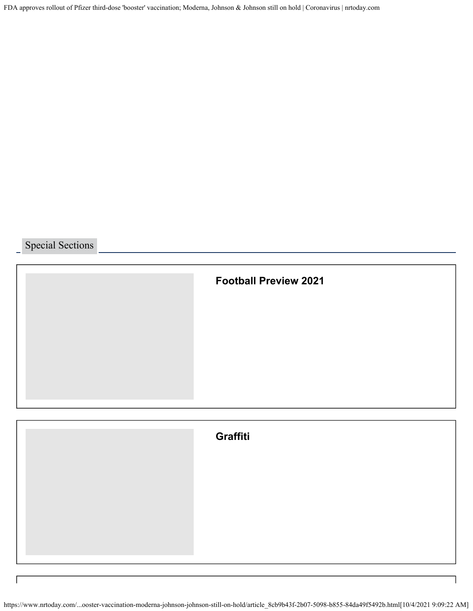## [Special Sections](https://www.nrtoday.com/specialsections/)

 $\mathbf{I}$ 

| <b>Football Preview 2021</b> |
|------------------------------|
|                              |
|                              |
|                              |

| Graffiti |
|----------|
|          |
|          |
|          |
|          |

 $\overline{\phantom{a}}$ 

https://www.nrtoday.com/...ooster-vaccination-moderna-johnson-johnson-still-on-hold/article\_8cb9b43f-2b07-5098-b855-84da49f5492b.html[10/4/2021 9:09:22 AM]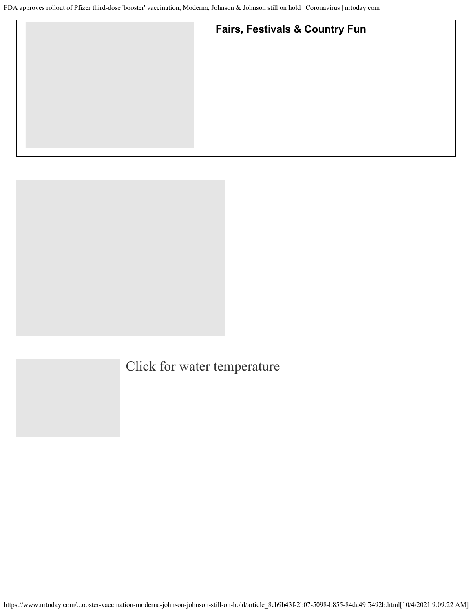**[Fairs, Festivals & Country Fun](https://www.nrtoday.com/special/fairs-festivals-country-fun/edition_4ab7a0ed-87fd-56bb-9bc9-48e02a064538.html)**



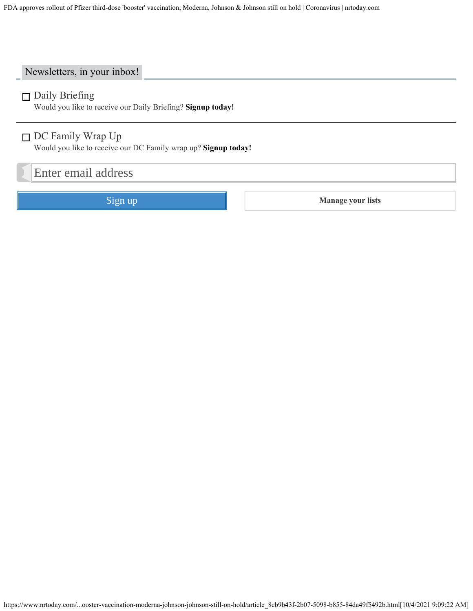## Newsletters, in your inbox!

## Daily Briefing

Would you like to receive our Daily Briefing? **[Signup today](http://www.nrtoday.com/newsletters/)!**

### □ DC Family Wrap Up

Would you like to receive our DC Family wrap up? **[Signup today](http://www.nrtoday.com/newsletters/)!**

## Enter email address

Sign **Sign up** up

**[Manage your lists](https://www.nrtoday.com/users/admin/mailinglist/)**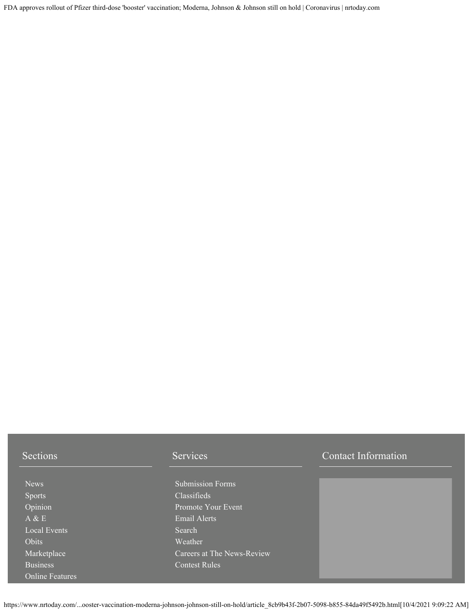#### Sections

[News](https://www.nrtoday.com/news/) [Sports](https://www.nrtoday.com/sports/) [Opinion](https://www.nrtoday.com/opinion/)  $A & E$ [Local Events](https://www.nrtoday.com/local-events/) **[Obits](https://www.nrtoday.com/obits/)** [Marketplace](http://phonesourceonline.com/) [Business](https://www.nrtoday.com/business/) [Online Features](https://www.nrtoday.com/online_features/)

#### Services

[Submission Forms](https://www.nrtoday.com/site/forms/) [Classifieds](https://www.nrtoday.com/classifieds/) [Promote Your Event](https://new.evvnt.com/?with_navbar&force_snap_sell&partner=NRTODAY&publisher_url:nrtoday.com#/quick) [Email Alerts](https://www.nrtoday.com/users/admin/mailinglist) [Search](https://www.nrtoday.com/search/) [Weather](https://www.nrtoday.com/weather/) [Careers at The News-Review](https://www.nrtoday.com/classifieds/careers) [Contest Rules](http://www.nrtoday.com/site/contest_rules.html)

## Contact Information